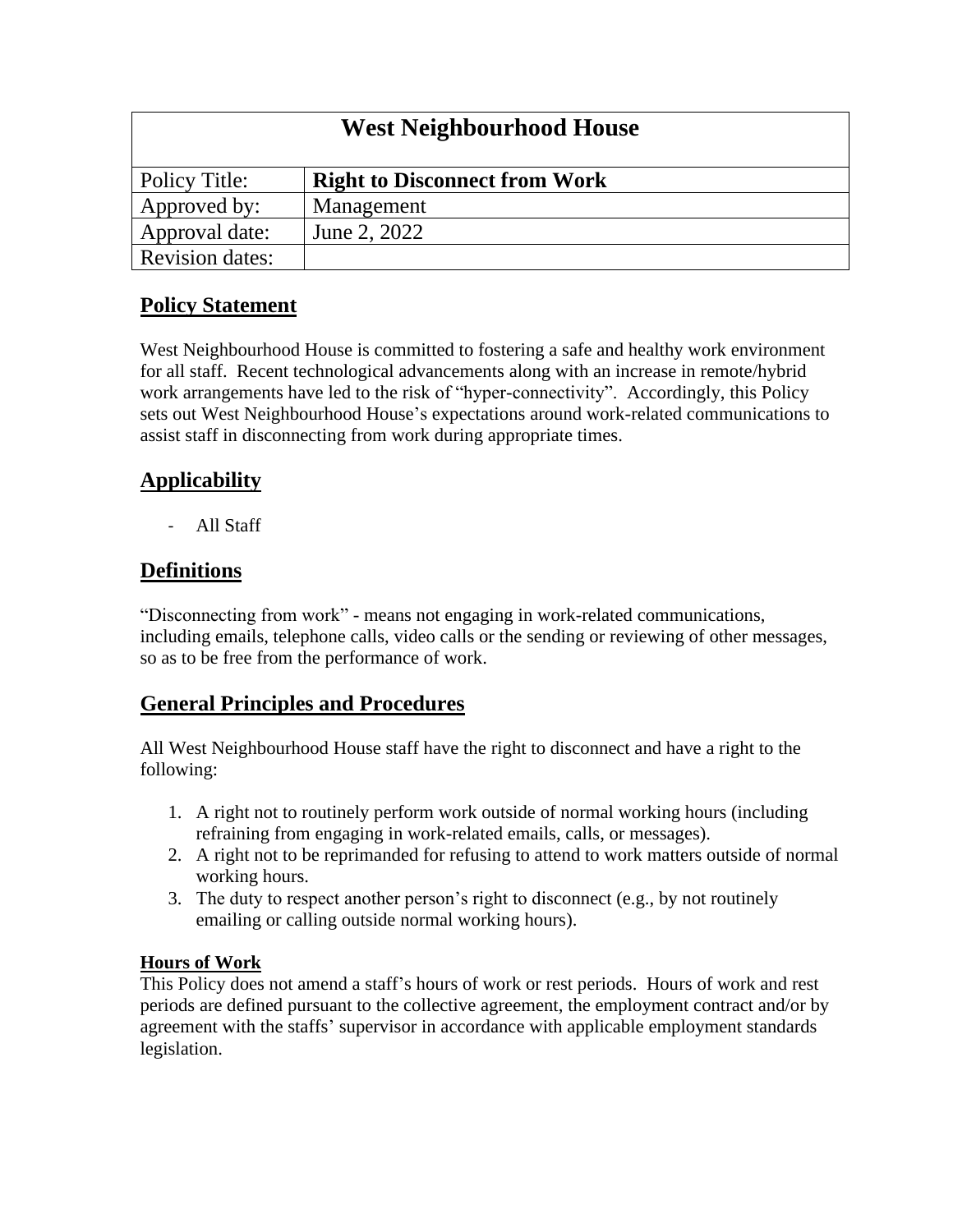| <b>West Neighbourhood House</b> |                                      |
|---------------------------------|--------------------------------------|
| Policy Title:                   | <b>Right to Disconnect from Work</b> |
| Approved by:                    | Management                           |
| Approval date:                  | June 2, 2022                         |
| <b>Revision dates:</b>          |                                      |

### **Policy Statement**

West Neighbourhood House is committed to fostering a safe and healthy work environment for all staff. Recent technological advancements along with an increase in remote/hybrid work arrangements have led to the risk of "hyper-connectivity". Accordingly, this Policy sets out West Neighbourhood House's expectations around work-related communications to assist staff in disconnecting from work during appropriate times.

# **Applicability**

- All Staff

## **Definitions**

"Disconnecting from work" - means not engaging in work-related communications, including emails, telephone calls, video calls or the sending or reviewing of other messages, so as to be free from the performance of work.

## **General Principles and Procedures**

All West Neighbourhood House staff have the right to disconnect and have a right to the following:

- 1. A right not to routinely perform work outside of normal working hours (including refraining from engaging in work-related emails, calls, or messages).
- 2. A right not to be reprimanded for refusing to attend to work matters outside of normal working hours.
- 3. The duty to respect another person's right to disconnect (e.g., by not routinely emailing or calling outside normal working hours).

### **Hours of Work**

This Policy does not amend a staff's hours of work or rest periods. Hours of work and rest periods are defined pursuant to the collective agreement, the employment contract and/or by agreement with the staffs' supervisor in accordance with applicable employment standards legislation.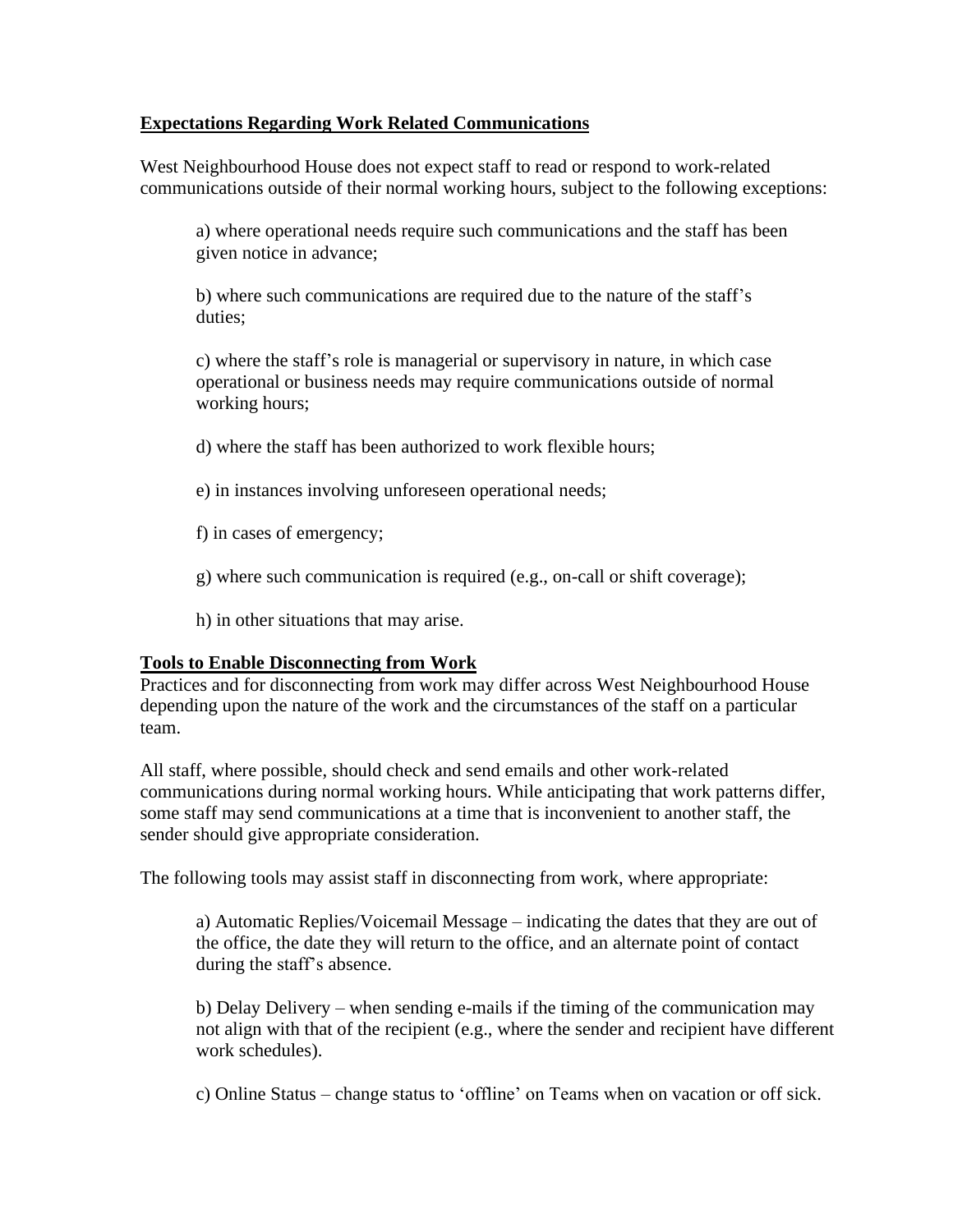### **Expectations Regarding Work Related Communications**

West Neighbourhood House does not expect staff to read or respond to work-related communications outside of their normal working hours, subject to the following exceptions:

a) where operational needs require such communications and the staff has been given notice in advance;

b) where such communications are required due to the nature of the staff's duties;

c) where the staff's role is managerial or supervisory in nature, in which case operational or business needs may require communications outside of normal working hours;

d) where the staff has been authorized to work flexible hours;

e) in instances involving unforeseen operational needs;

f) in cases of emergency;

g) where such communication is required (e.g., on-call or shift coverage);

h) in other situations that may arise.

### **Tools to Enable Disconnecting from Work**

Practices and for disconnecting from work may differ across West Neighbourhood House depending upon the nature of the work and the circumstances of the staff on a particular team.

All staff, where possible, should check and send emails and other work-related communications during normal working hours. While anticipating that work patterns differ, some staff may send communications at a time that is inconvenient to another staff, the sender should give appropriate consideration.

The following tools may assist staff in disconnecting from work, where appropriate:

a) Automatic Replies/Voicemail Message – indicating the dates that they are out of the office, the date they will return to the office, and an alternate point of contact during the staff's absence.

b) Delay Delivery – when sending e-mails if the timing of the communication may not align with that of the recipient (e.g., where the sender and recipient have different work schedules).

c) Online Status – change status to 'offline' on Teams when on vacation or off sick.